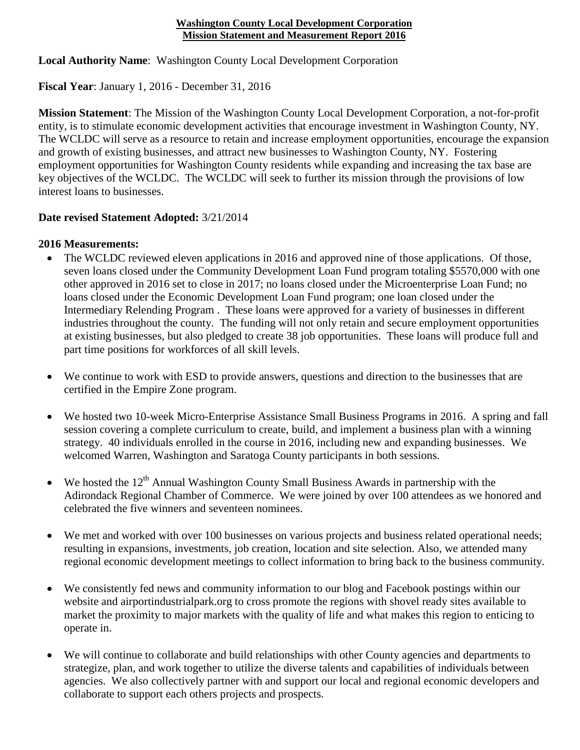## **Washington County Local Development Corporation Mission Statement and Measurement Report 2016**

**Local Authority Name**: Washington County Local Development Corporation

**Fiscal Year**: January 1, 2016 - December 31, 2016

**Mission Statement**: The Mission of the Washington County Local Development Corporation, a not-for-profit entity, is to stimulate economic development activities that encourage investment in Washington County, NY. The WCLDC will serve as a resource to retain and increase employment opportunities, encourage the expansion and growth of existing businesses, and attract new businesses to Washington County, NY. Fostering employment opportunities for Washington County residents while expanding and increasing the tax base are key objectives of the WCLDC. The WCLDC will seek to further its mission through the provisions of low interest loans to businesses.

## **Date revised Statement Adopted:** 3/21/2014

## **2016 Measurements:**

- The WCLDC reviewed eleven applications in 2016 and approved nine of those applications. Of those, seven loans closed under the Community Development Loan Fund program totaling \$5570,000 with one other approved in 2016 set to close in 2017; no loans closed under the Microenterprise Loan Fund; no loans closed under the Economic Development Loan Fund program; one loan closed under the Intermediary Relending Program . These loans were approved for a variety of businesses in different industries throughout the county. The funding will not only retain and secure employment opportunities at existing businesses, but also pledged to create 38 job opportunities. These loans will produce full and part time positions for workforces of all skill levels.
- We continue to work with ESD to provide answers, questions and direction to the businesses that are certified in the Empire Zone program.
- We hosted two 10-week Micro-Enterprise Assistance Small Business Programs in 2016. A spring and fall session covering a complete curriculum to create, build, and implement a business plan with a winning strategy. 40 individuals enrolled in the course in 2016, including new and expanding businesses. We welcomed Warren, Washington and Saratoga County participants in both sessions.
- We hosted the  $12<sup>th</sup>$  Annual Washington County Small Business Awards in partnership with the Adirondack Regional Chamber of Commerce. We were joined by over 100 attendees as we honored and celebrated the five winners and seventeen nominees.
- We met and worked with over 100 businesses on various projects and business related operational needs; resulting in expansions, investments, job creation, location and site selection. Also, we attended many regional economic development meetings to collect information to bring back to the business community.
- We consistently fed news and community information to our blog and Facebook postings within our website and airportindustrialpark.org to cross promote the regions with shovel ready sites available to market the proximity to major markets with the quality of life and what makes this region to enticing to operate in.
- We will continue to collaborate and build relationships with other County agencies and departments to strategize, plan, and work together to utilize the diverse talents and capabilities of individuals between agencies. We also collectively partner with and support our local and regional economic developers and collaborate to support each others projects and prospects.